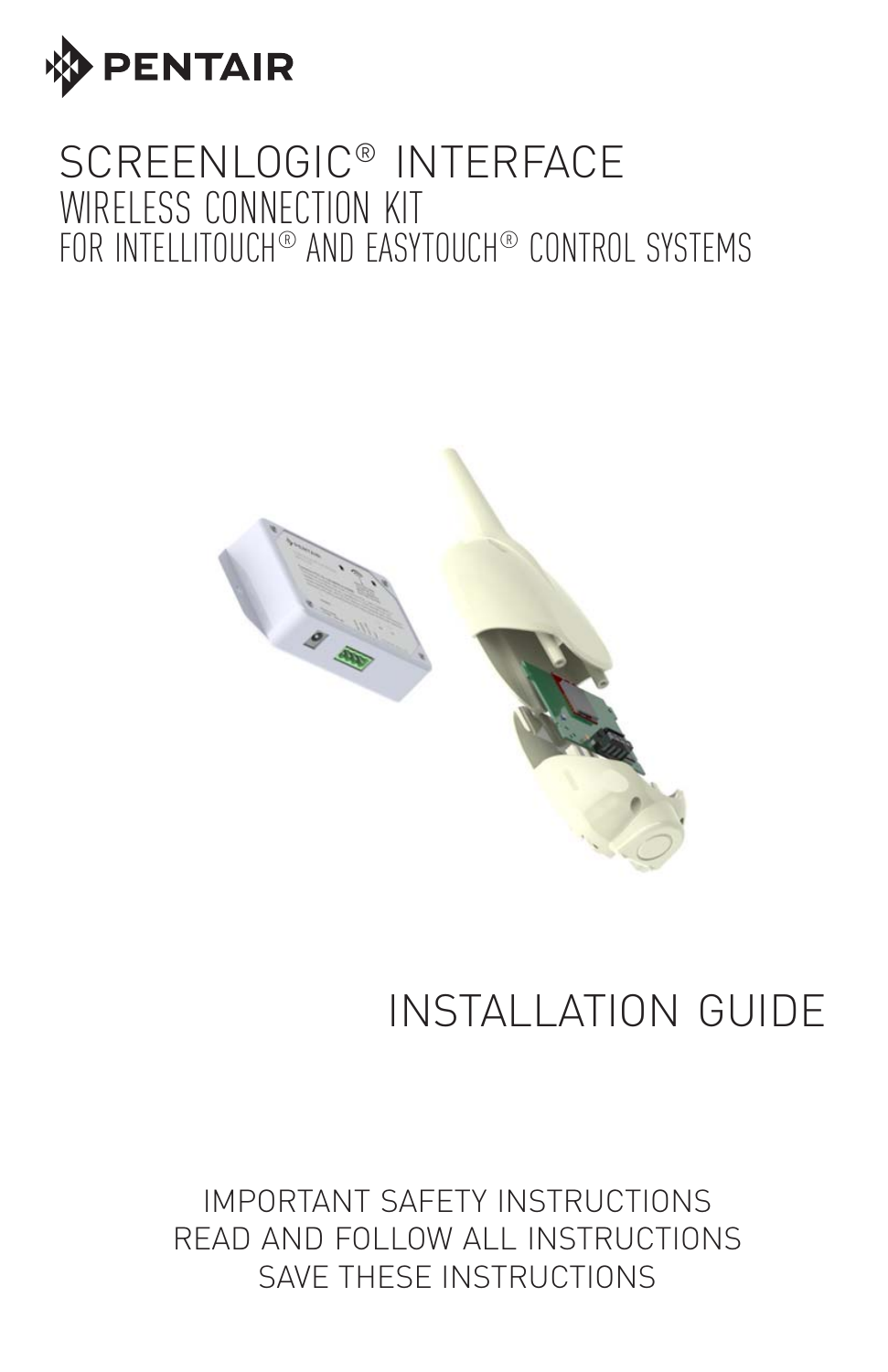

## SCREENLOGIC® INTERFACE WIRELESS CONNECTION KIT FOR INTELLITOUCH® AND EASYTOUCH® CONTROL SYSTEMS



# INSTALLATION GUIDE

IMPORTANT SAFETY INSTRUCTIONS READ AND FOLLOW ALL INSTRUCTIONS SAVE THESE INSTRUCTIONS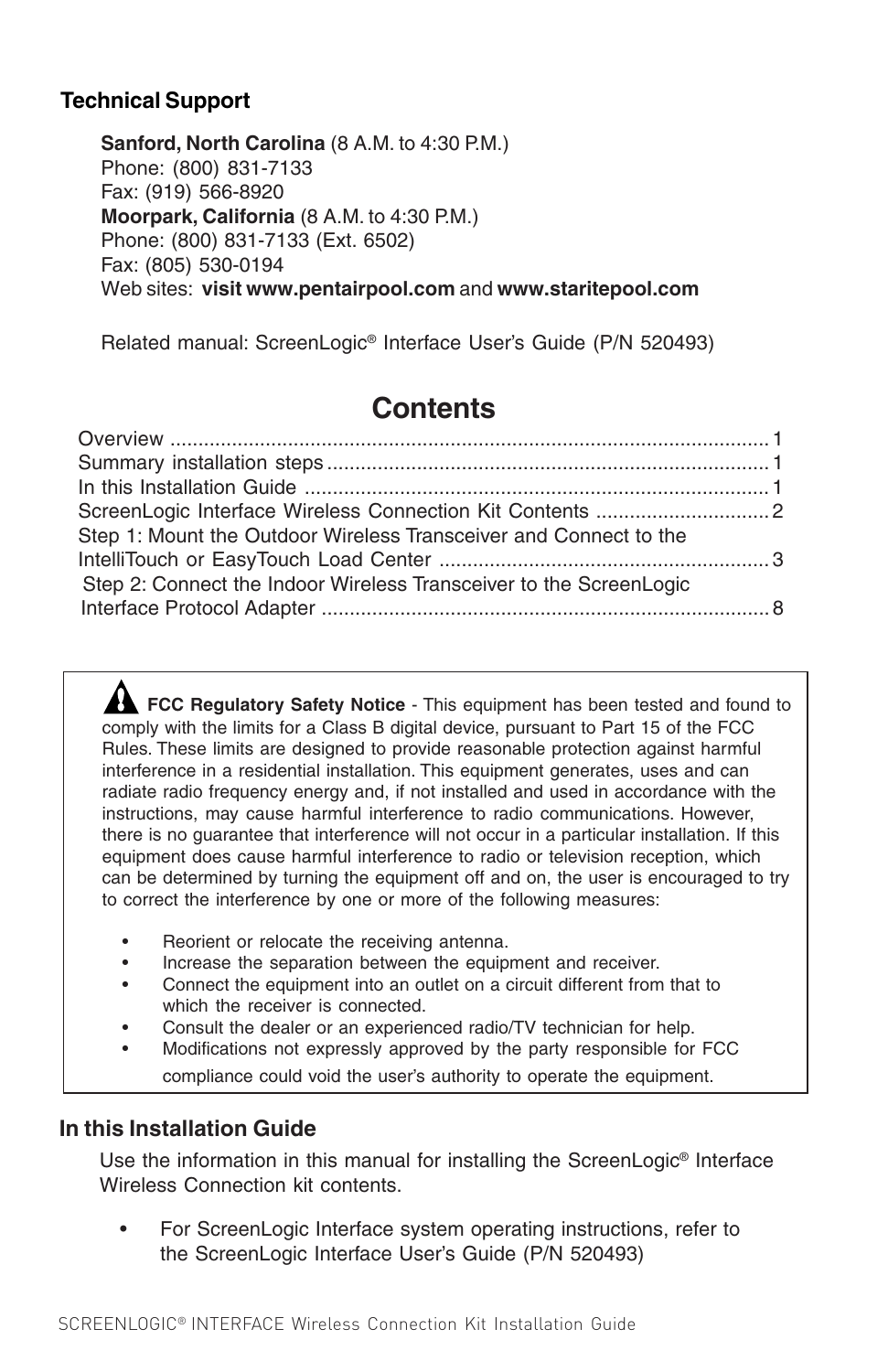#### **Technical Support**

**Sanford, North Carolina** (8 A.M. to 4:30 P.M.) Phone: (800) 831-7133 Fax: (919) 566-8920 **Moorpark, California** (8 A.M. to 4:30 P.M.) Phone: (800) 831-7133 (Ext. 6502) Fax: (805) 530-0194 Web sites: **visit www.pentairpool.com** and **www.staritepool.com**

Related manual: ScreenLogic® Interface User's Guide (P/N 520493)

### **Contents**

| Step 1: Mount the Outdoor Wireless Transceiver and Connect to the  |  |
|--------------------------------------------------------------------|--|
|                                                                    |  |
| Step 2: Connect the Indoor Wireless Transceiver to the ScreenLogic |  |
|                                                                    |  |
|                                                                    |  |

**FCC Regulatory Safety Notice** - This equipment has been tested and found to comply with the limits for a Class B digital device, pursuant to Part 15 of the FCC Rules. These limits are designed to provide reasonable protection against harmful interference in a residential installation. This equipment generates, uses and can radiate radio frequency energy and, if not installed and used in accordance with the instructions, may cause harmful interference to radio communications. However, there is no guarantee that interference will not occur in a particular installation. If this equipment does cause harmful interference to radio or television reception, which can be determined by turning the equipment off and on, the user is encouraged to try to correct the interference by one or more of the following measures:

- Reorient or relocate the receiving antenna.
- Increase the separation between the equipment and receiver.
- Connect the equipment into an outlet on a circuit different from that to which the receiver is connected.
- Consult the dealer or an experienced radio/TV technician for help.
- Modifications not expressly approved by the party responsible for FCC compliance could void the user's authority to operate the equipment.

#### **In this Installation Guide**

Use the information in this manual for installing the ScreenLogic® Interface Wireless Connection kit contents.

• For ScreenLogic Interface system operating instructions, refer to the ScreenLogic Interface User's Guide (P/N 520493)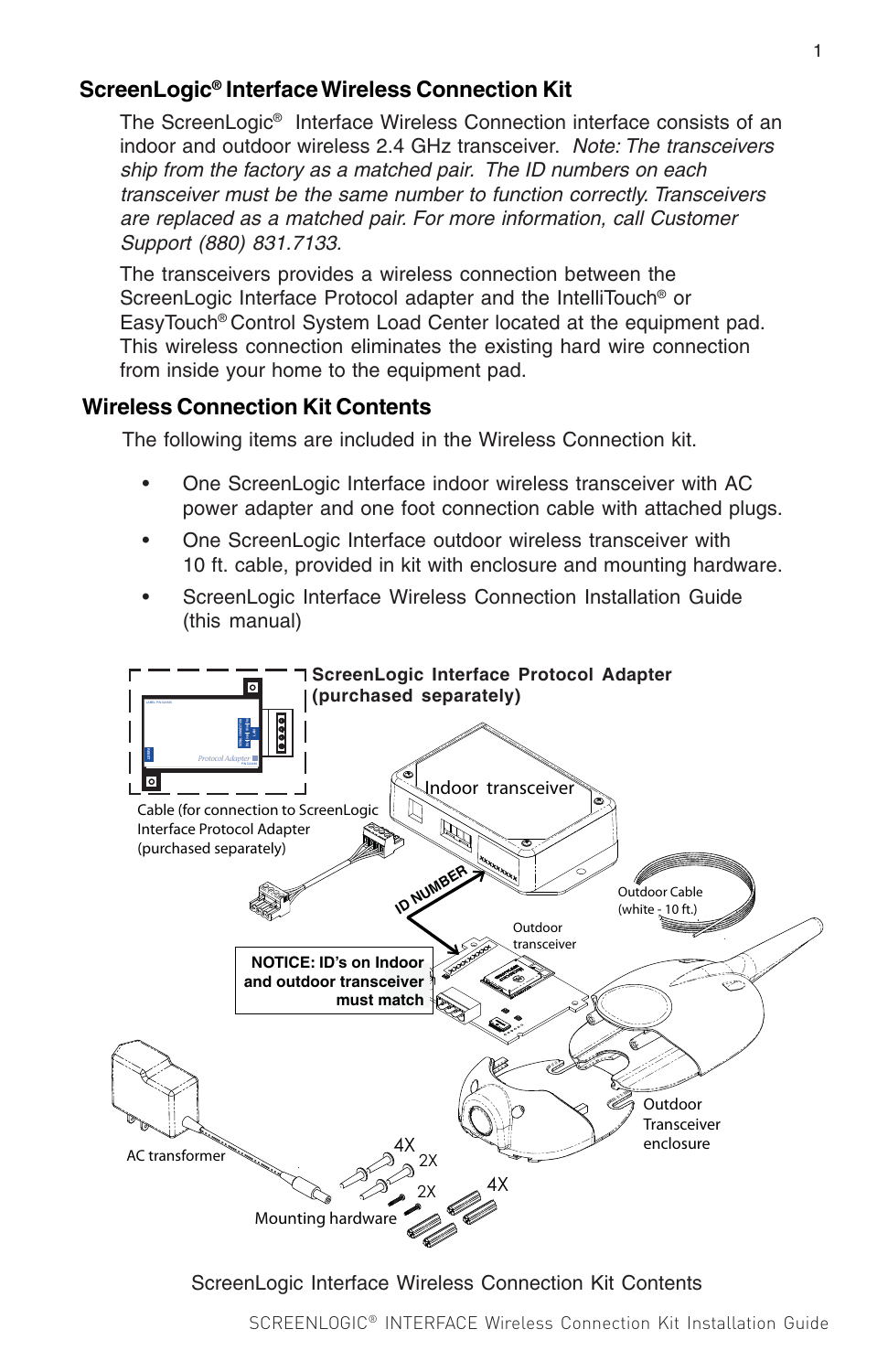#### **ScreenLogic® Interface Wireless Connection Kit**

The ScreenLogic® Interface Wireless Connection interface consists of an indoor and outdoor wireless 2.4 GHz transceiver. Note: The transceivers ship from the factory as a matched pair. The ID numbers on each transceiver must be the same number to function correctly. Transceivers are replaced as a matched pair. For more information, call Customer Support (880) 831.7133.

The transceivers provides a wireless connection between the ScreenLogic Interface Protocol adapter and the IntelliTouch® or EasyTouch® Control System Load Center located at the equipment pad. This wireless connection eliminates the existing hard wire connection from inside your home to the equipment pad.

#### **Wireless Connection Kit Contents**

The following items are included in the Wireless Connection kit.

- One ScreenLogic Interface indoor wireless transceiver with AC power adapter and one foot connection cable with attached plugs.
- One ScreenLogic Interface outdoor wireless transceiver with 10 ft. cable, provided in kit with enclosure and mounting hardware.
- ScreenLogic Interface Wireless Connection Installation Guide (this manual)



ScreenLogic Interface Wireless Connection Kit Contents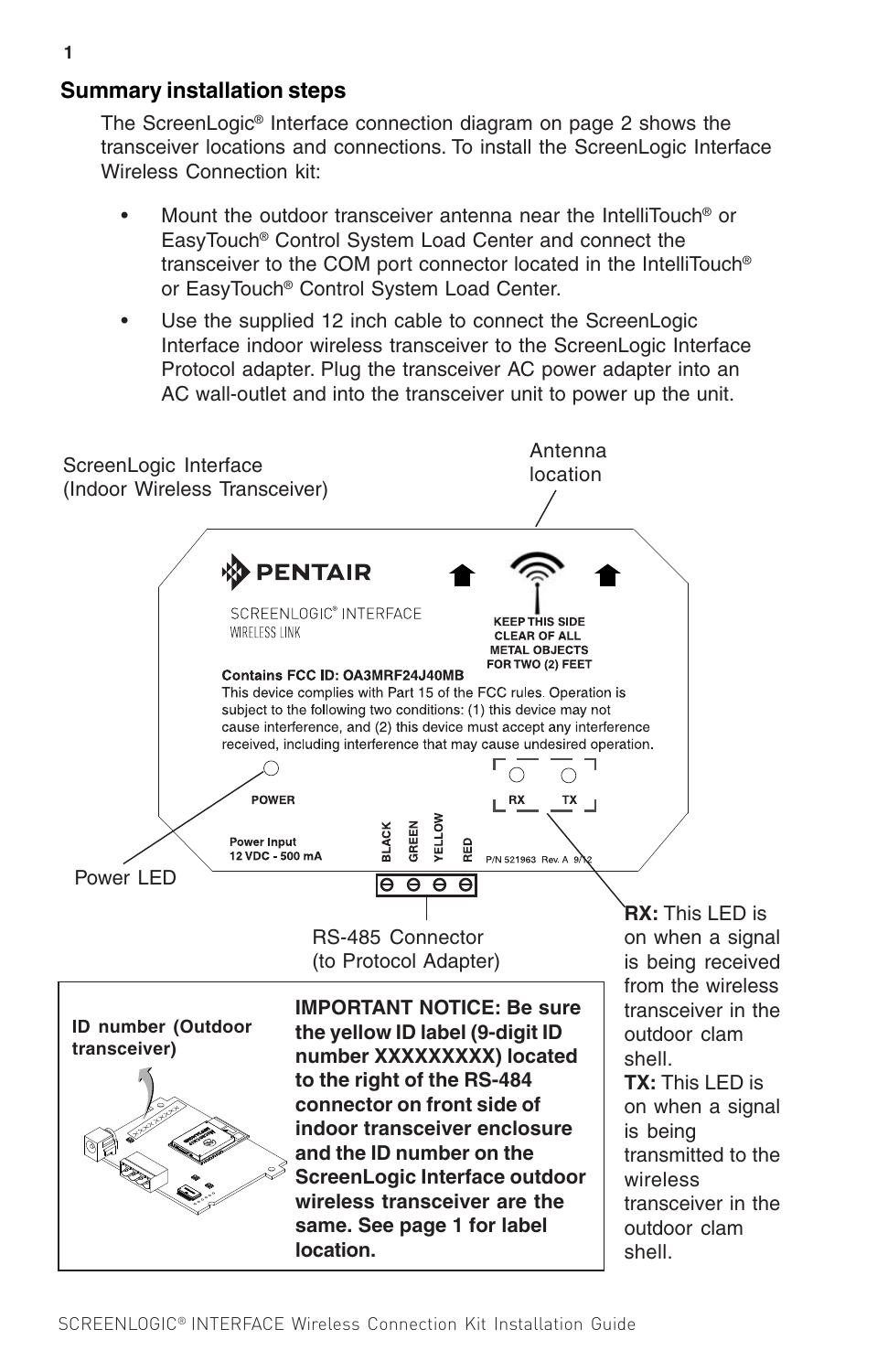#### **Summary installation steps**

The ScreenLogic® Interface connection diagram on page 2 shows the transceiver locations and connections. To install the ScreenLogic Interface Wireless Connection kit:

- Mount the outdoor transceiver antenna near the IntelliTouch® or EasyTouch® Control System Load Center and connect the transceiver to the COM port connector located in the IntelliTouch® or EasyTouch® Control System Load Center.
- Use the supplied 12 inch cable to connect the ScreenLogic Interface indoor wireless transceiver to the ScreenLogic Interface Protocol adapter. Plug the transceiver AC power adapter into an AC wall-outlet and into the transceiver unit to power up the unit.

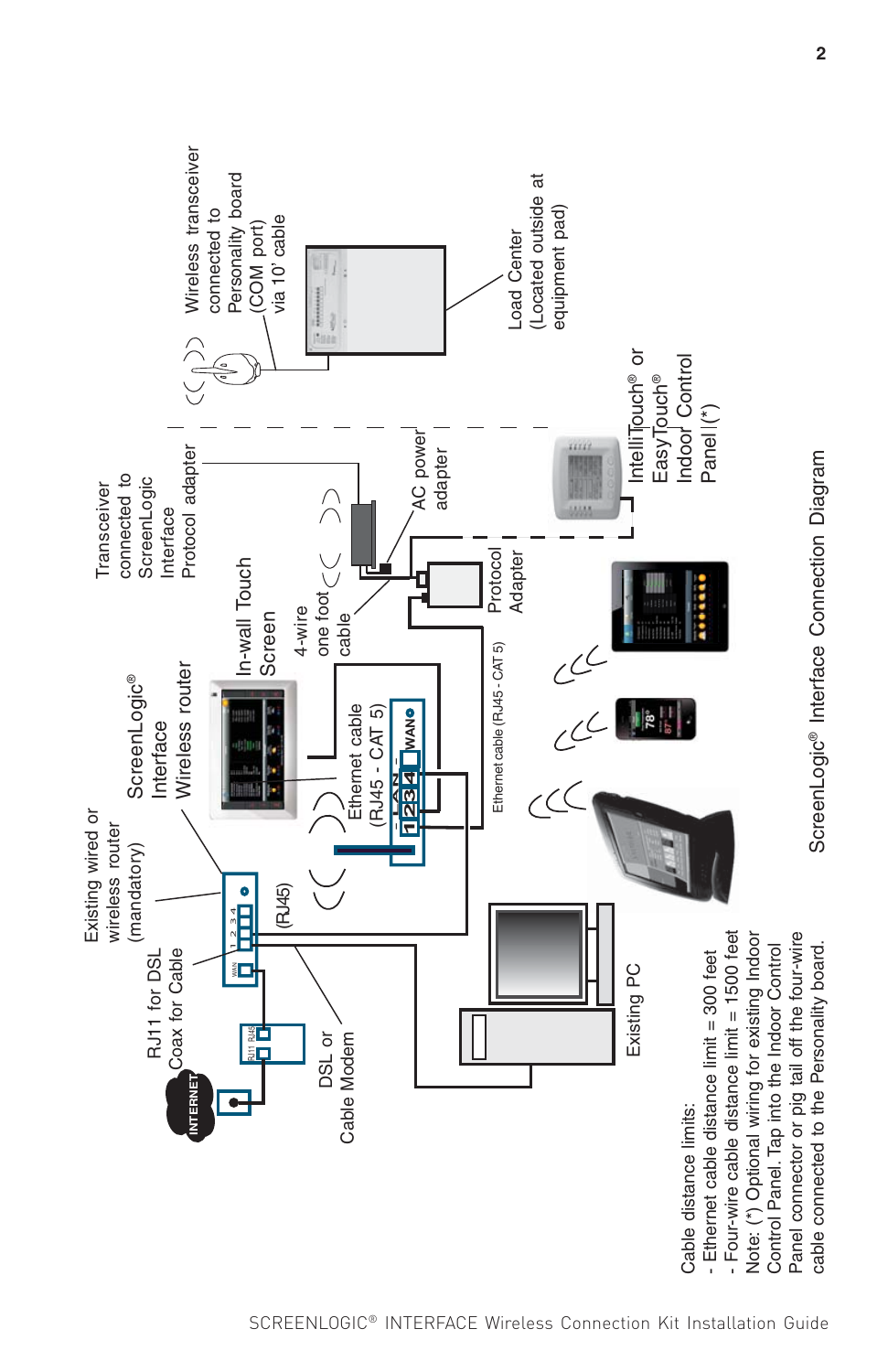

ScreenLogic® Interface Connection Diagram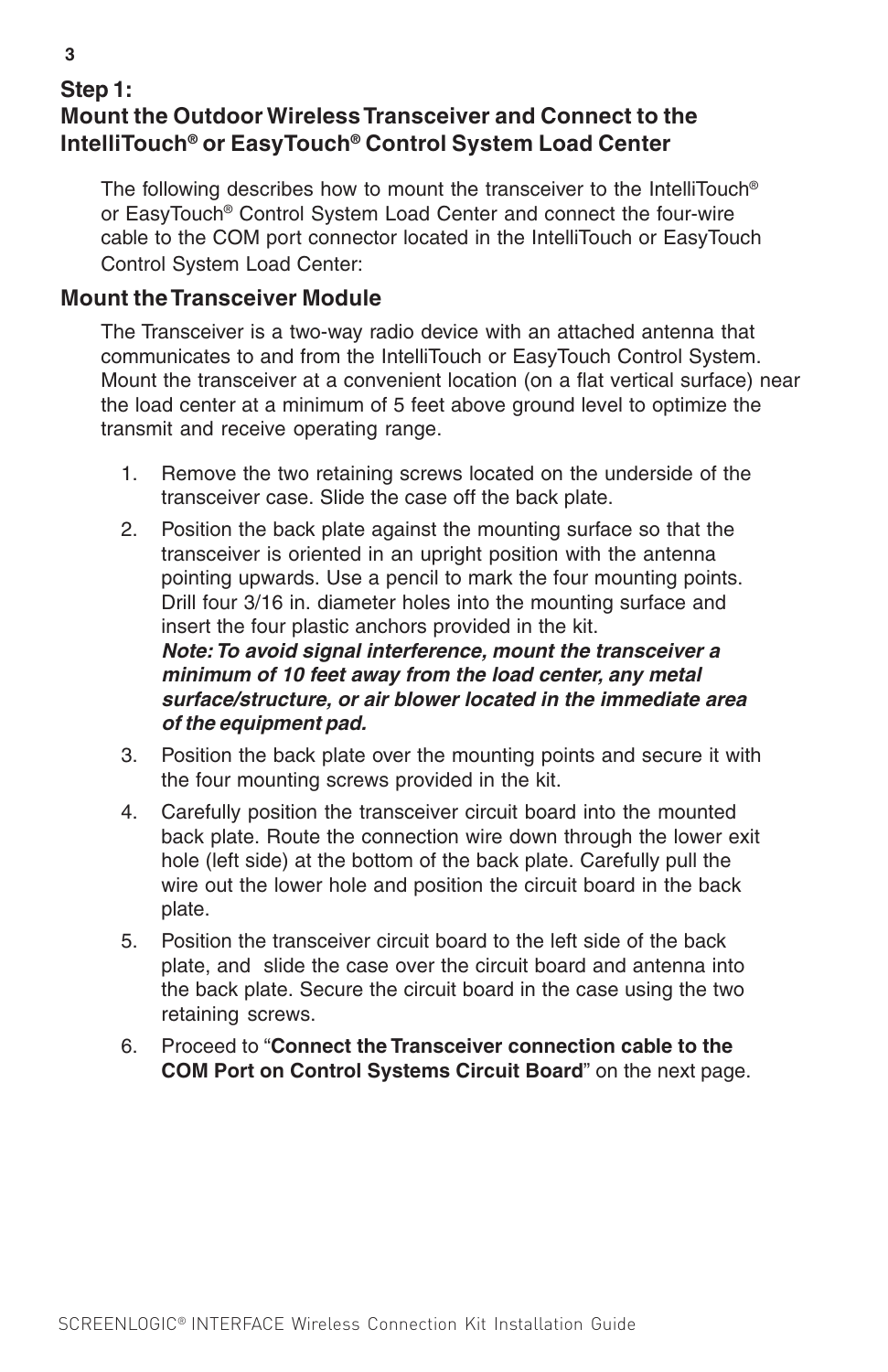#### **Step 1: Mount the Outdoor Wireless Transceiver and Connect to the IntelliTouch® or EasyTouch® Control System Load Center**

The following describes how to mount the transceiver to the IntelliTouch® or EasyTouch® Control System Load Center and connect the four-wire cable to the COM port connector located in the IntelliTouch or EasyTouch Control System Load Center:

#### **Mount the Transceiver Module**

**of the equipment pad.**

The Transceiver is a two-way radio device with an attached antenna that communicates to and from the IntelliTouch or EasyTouch Control System. Mount the transceiver at a convenient location (on a flat vertical surface) near the load center at a minimum of 5 feet above ground level to optimize the transmit and receive operating range.

- 1. Remove the two retaining screws located on the underside of the transceiver case. Slide the case off the back plate.
- 2. Position the back plate against the mounting surface so that the transceiver is oriented in an upright position with the antenna pointing upwards. Use a pencil to mark the four mounting points. Drill four 3/16 in. diameter holes into the mounting surface and insert the four plastic anchors provided in the kit. **Note: To avoid signal interference, mount the transceiver a minimum of 10 feet away from the load center, any metal surface/structure, or air blower located in the immediate area**
- 3. Position the back plate over the mounting points and secure it with the four mounting screws provided in the kit.
- 4. Carefully position the transceiver circuit board into the mounted back plate. Route the connection wire down through the lower exit hole (left side) at the bottom of the back plate. Carefully pull the wire out the lower hole and position the circuit board in the back plate.
- 5. Position the transceiver circuit board to the left side of the back plate, and slide the case over the circuit board and antenna into the back plate. Secure the circuit board in the case using the two retaining screws.
- 6. Proceed to "**Connect the Transceiver connection cable to the COM Port on Control Systems Circuit Board**" on the next page.

**3**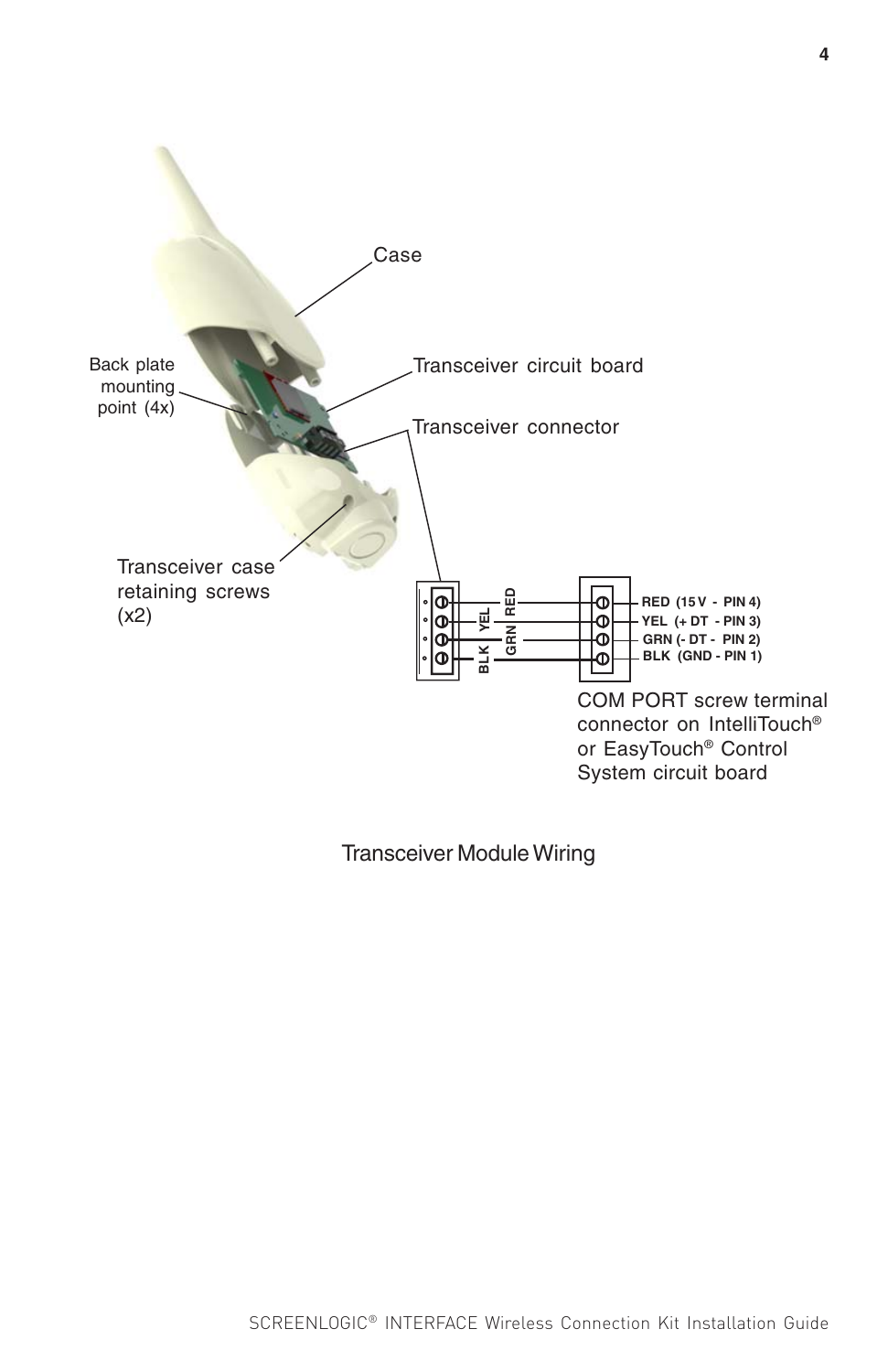

Transceiver Module Wiring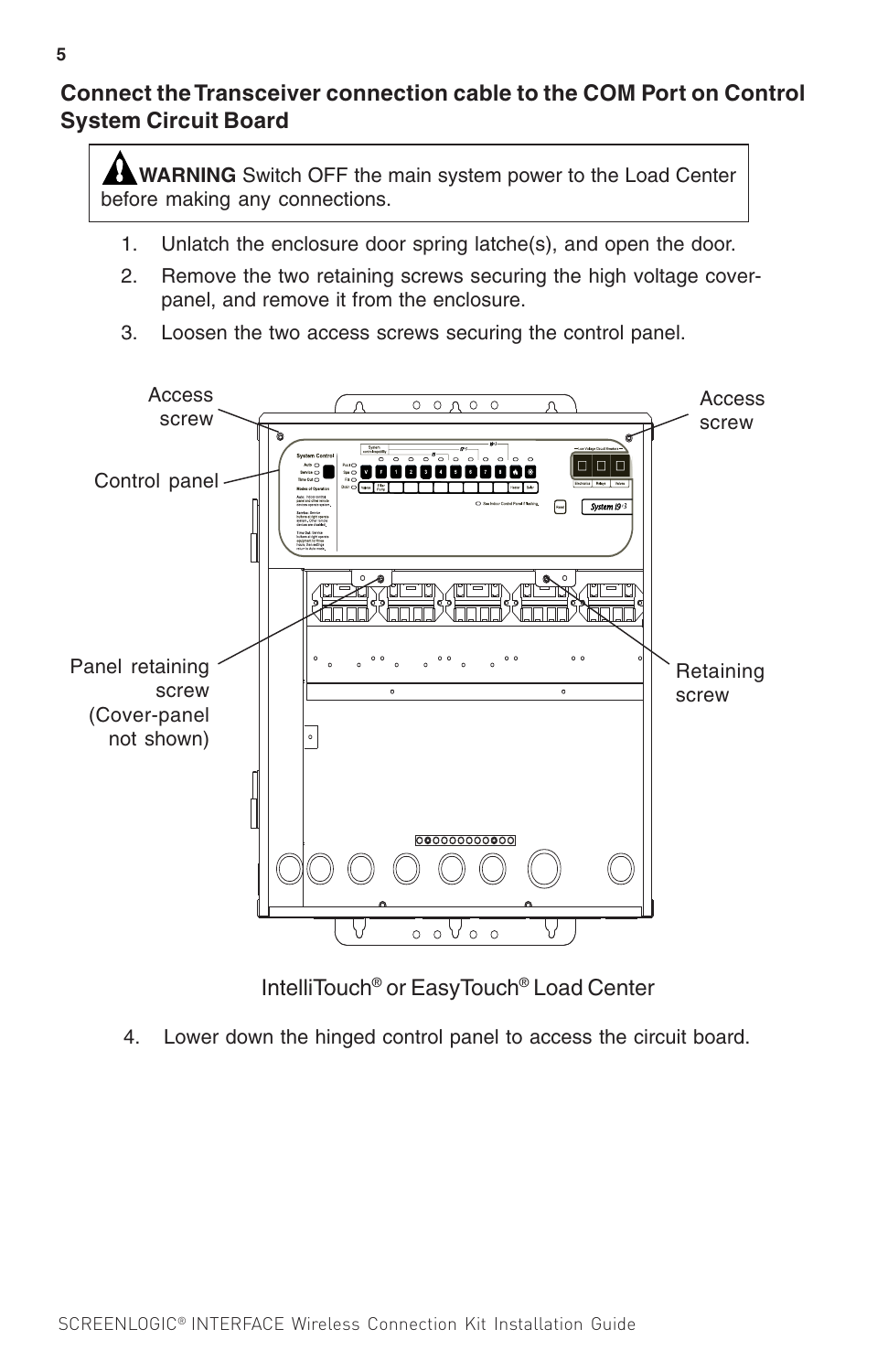#### **Connect the Transceiver connection cable to the COM Port on Control System Circuit Board**

**WARNING** Switch OFF the main system power to the Load Center before making any connections.

- 1. Unlatch the enclosure door spring latche(s), and open the door.
- 2. Remove the two retaining screws securing the high voltage coverpanel, and remove it from the enclosure.
- 3. Loosen the two access screws securing the control panel.



IntelliTouch® or EasyTouch® Load Center

4. Lower down the hinged control panel to access the circuit board.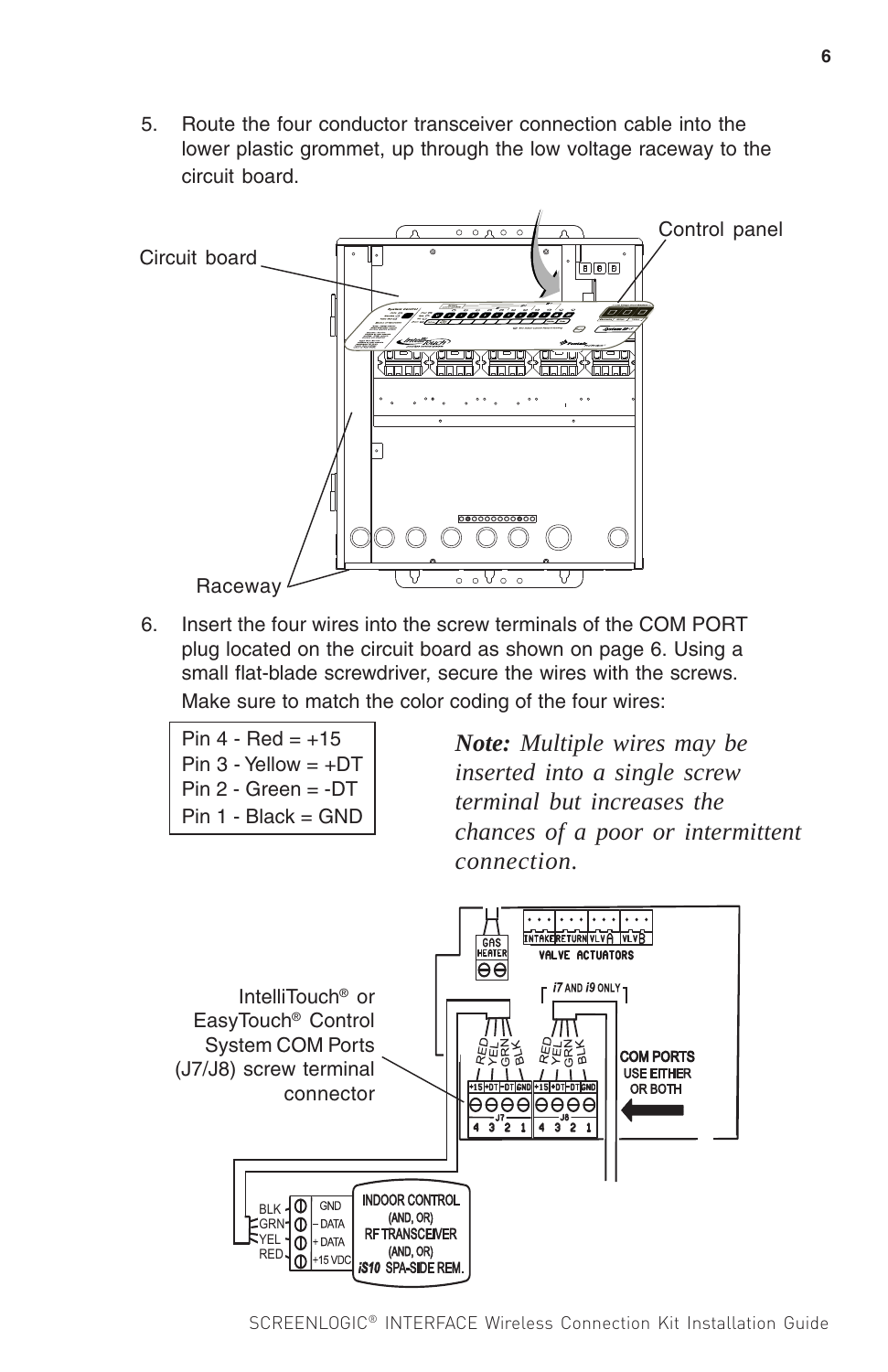5. Route the four conductor transceiver connection cable into the lower plastic grommet, up through the low voltage raceway to the circuit board.



6. Insert the four wires into the screw terminals of the COM PORT plug located on the circuit board as shown on page 6. Using a small flat-blade screwdriver, secure the wires with the screws. Make sure to match the color coding of the four wires:

*Note: Multiple wires may be inserted into a single screw terminal but increases the chances of a poor or intermittent connection.*

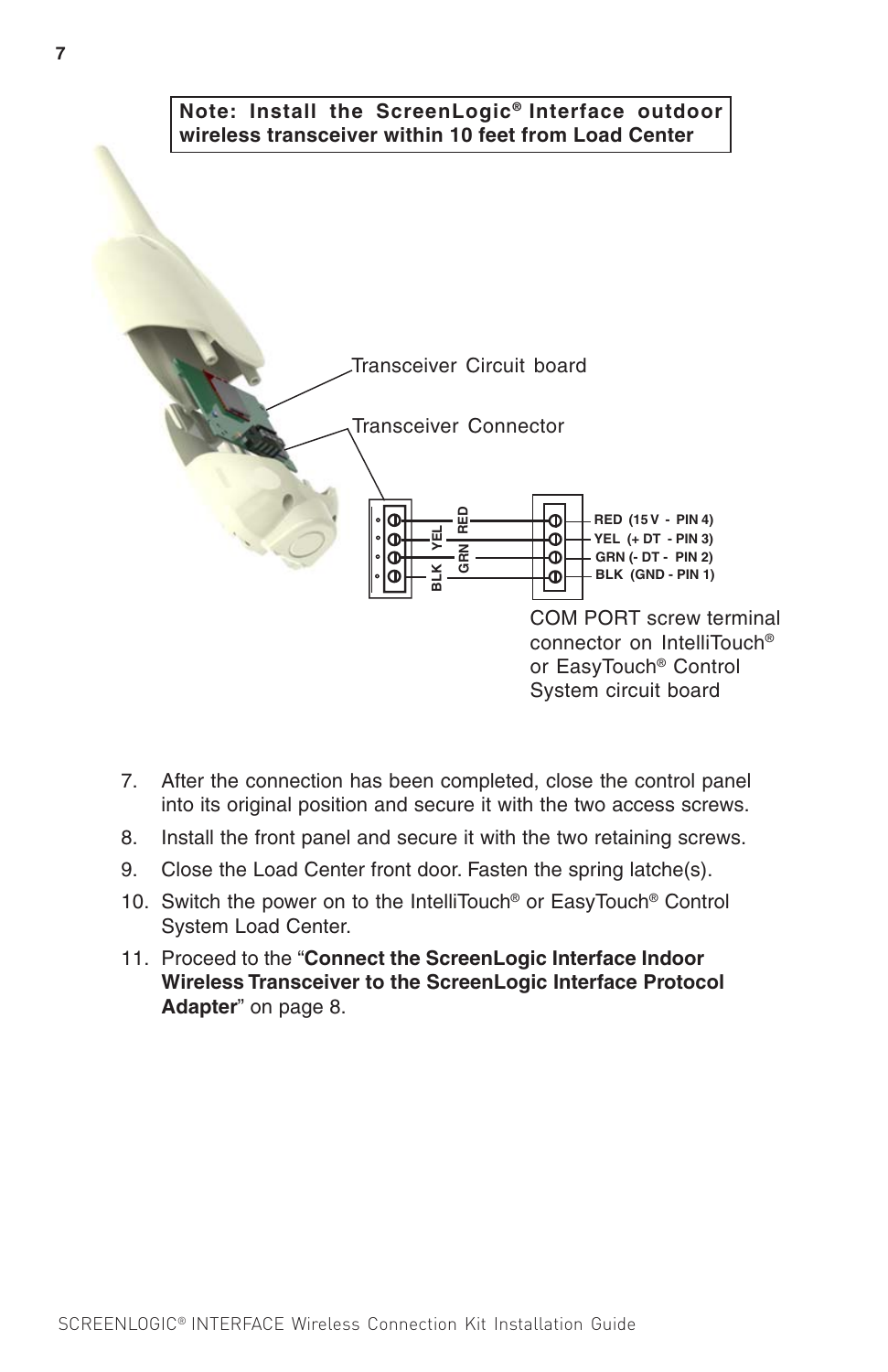

- 7. After the connection has been completed, close the control panel into its original position and secure it with the two access screws.
- 8. Install the front panel and secure it with the two retaining screws.
- 9. Close the Load Center front door. Fasten the spring latche(s).
- 10. Switch the power on to the IntelliTouch® or EasyTouch® Control System Load Center.
- 11. Proceed to the "**Connect the ScreenLogic Interface Indoor Wireless Transceiver to the ScreenLogic Interface Protocol Adapter**" on page 8.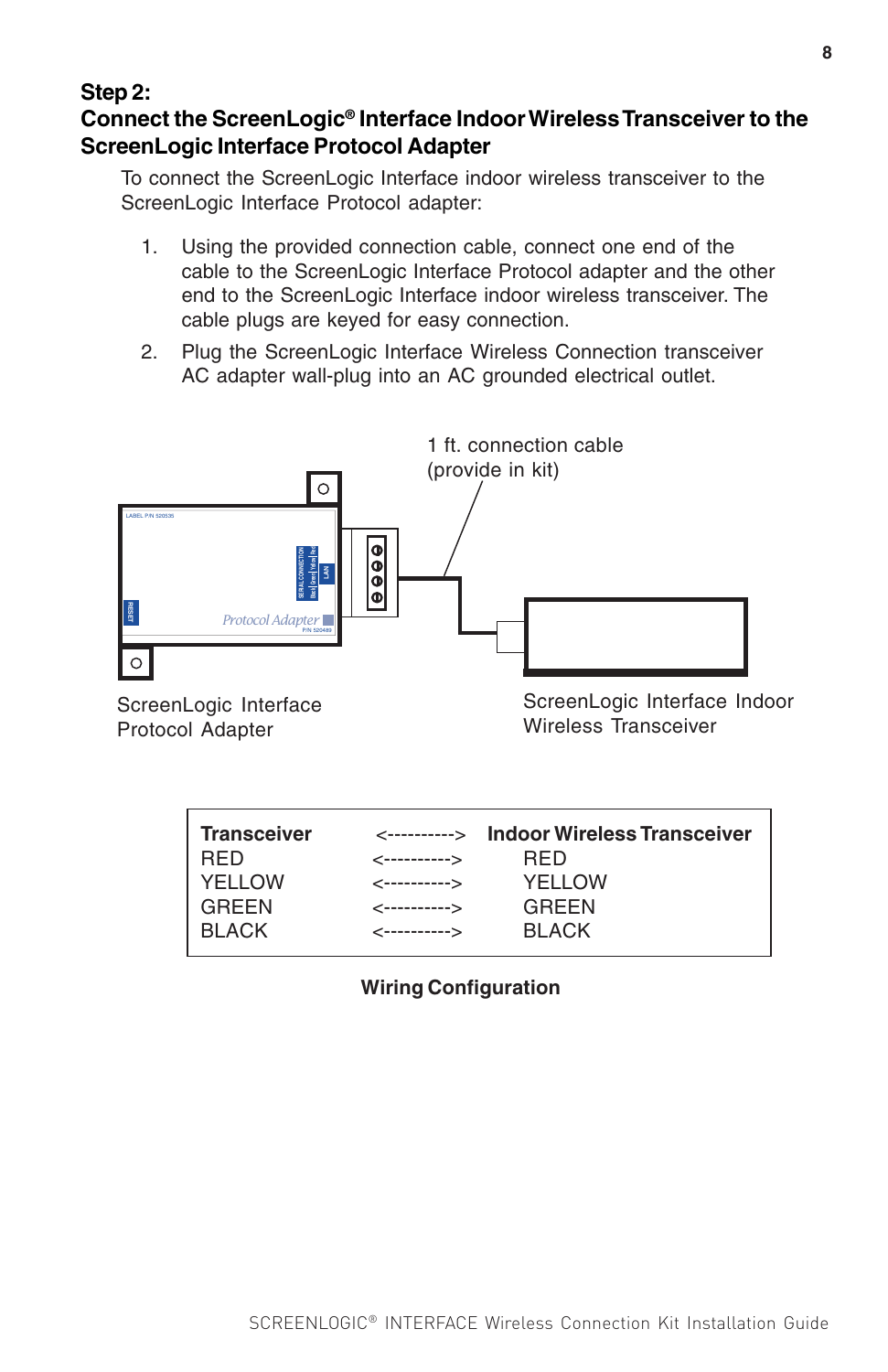#### **Step 2: Connect the ScreenLogic® Interface Indoor Wireless Transceiver to the ScreenLogic Interface Protocol Adapter**

To connect the ScreenLogic Interface indoor wireless transceiver to the ScreenLogic Interface Protocol adapter:

- 1. Using the provided connection cable, connect one end of the cable to the ScreenLogic Interface Protocol adapter and the other end to the ScreenLogic Interface indoor wireless transceiver. The cable plugs are keyed for easy connection.
- 2. Plug the ScreenLogic Interface Wireless Connection transceiver AC adapter wall-plug into an AC grounded electrical outlet.



ScreenLogic Interface Protocol Adapter

ScreenLogic Interface Indoor Wireless Transceiver

| <b>Transceiver</b> |                          | <----------> Indoor Wireless Transceiver |
|--------------------|--------------------------|------------------------------------------|
|                    |                          |                                          |
| <b>RED</b>         | <----------->            | <b>RFD</b>                               |
| <i>NELLOW</i>      | $\leftarrow$ ----------> | YELLOW                                   |
| <b>GREEN</b>       | <----------->            | GREEN                                    |
| <b>BLACK</b>       | $\leftarrow$ ----------> | <b>BLACK</b>                             |
|                    |                          |                                          |

#### **Wiring Configuration**